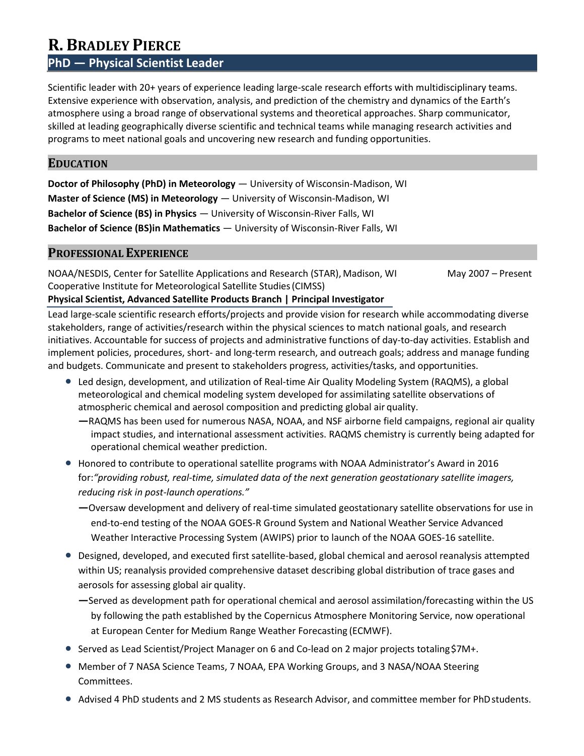# **R. BRADLEY PIERCE**

# **PhD — Physical Scientist Leader**

Scientific leader with 20+ years of experience leading large-scale research efforts with multidisciplinary teams. Extensive experience with observation, analysis, and prediction of the chemistry and dynamics of the Earth's atmosphere using a broad range of observational systems and theoretical approaches. Sharp communicator, skilled at leading geographically diverse scientific and technical teams while managing research activities and programs to meet national goals and uncovering new research and funding opportunities.

## **EDUCATION**

**Doctor of Philosophy (PhD) in Meteorology** — University of Wisconsin-Madison, WI **Master of Science (MS) in Meteorology** — University of Wisconsin-Madison, WI **Bachelor of Science (BS) in Physics** — University of Wisconsin-River Falls, WI **Bachelor of Science (BS)in Mathematics** — University of Wisconsin-River Falls, WI

## **PROFESSIONAL EXPERIENCE**

NOAA/NESDIS, Center for Satellite Applications and Research (STAR), Madison, WI May 2007 – Present Cooperative Institute for Meteorological Satellite Studies(CIMSS)

**Physical Scientist, Advanced Satellite Products Branch | Principal Investigator**

Lead large-scale scientific research efforts/projects and provide vision for research while accommodating diverse stakeholders, range of activities/research within the physical sciences to match national goals, and research initiatives. Accountable for success of projects and administrative functions of day-to-day activities. Establish and implement policies, procedures, short- and long-term research, and outreach goals; address and manage funding and budgets. Communicate and present to stakeholders progress, activities/tasks, and opportunities.

- Led design, development, and utilization of Real-time Air Quality Modeling System (RAQMS), a global meteorological and chemical modeling system developed for assimilating satellite observations of atmospheric chemical and aerosol composition and predicting global air quality.
	- **—**RAQMS has been used for numerous NASA, NOAA, and NSF airborne field campaigns, regional air quality impact studies, and international assessment activities. RAQMS chemistry is currently being adapted for operational chemical weather prediction.
- Honored to contribute to operational satellite programs with NOAA Administrator's Award in 2016 for:*"providing robust, real-time, simulated data of the next generation geostationary satellite imagers, reducing risk in post-launch operations."*
	- **—**Oversaw development and delivery of real-time simulated geostationary satellite observations for use in end-to-end testing of the NOAA GOES-R Ground System and National Weather Service Advanced Weather Interactive Processing System (AWIPS) prior to launch of the NOAA GOES-16 satellite.
- Designed, developed, and executed first satellite-based, global chemical and aerosol reanalysis attempted within US; reanalysis provided comprehensive dataset describing global distribution of trace gases and aerosols for assessing global air quality.
	- **—**Served as development path for operational chemical and aerosol assimilation/forecasting within the US by following the path established by the Copernicus Atmosphere Monitoring Service, now operational at European Center for Medium Range Weather Forecasting (ECMWF).
- Served as Lead Scientist/Project Manager on 6 and Co-lead on 2 major projects totaling \$7M+.
- Member of 7 NASA Science Teams, 7 NOAA, EPA Working Groups, and 3 NASA/NOAA Steering Committees.
- Advised 4 PhD students and 2 MS students as Research Advisor, and committee member for PhD students.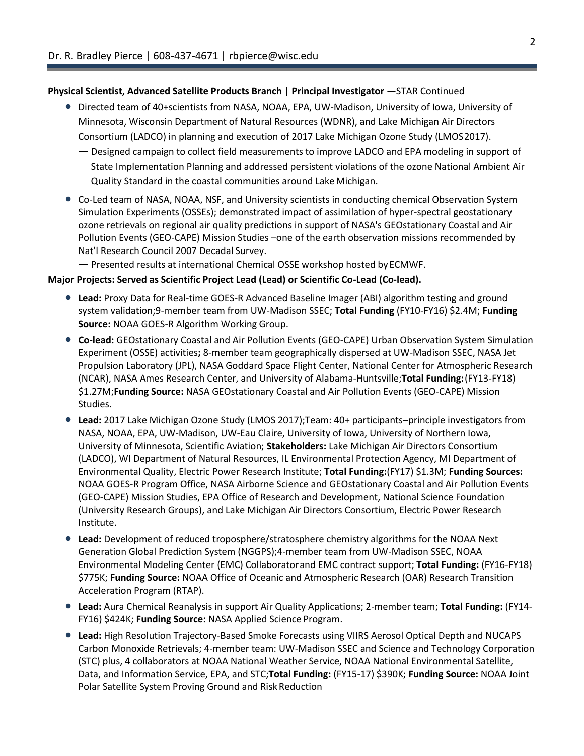#### **Physical Scientist, Advanced Satellite Products Branch | Principal Investigator —**STAR Continued

- Directed team of 40+scientists from NASA, NOAA, EPA, UW-Madison, University of Iowa, University of Minnesota, Wisconsin Department of Natural Resources (WDNR), and Lake Michigan Air Directors Consortium (LADCO) in planning and execution of 2017 Lake Michigan Ozone Study (LMOS2017).
	- **—** Designed campaign to collect field measurements to improve LADCO and EPA modeling in support of State Implementation Planning and addressed persistent violations of the ozone National Ambient Air Quality Standard in the coastal communities around LakeMichigan.
- Co-Led team of NASA, NOAA, NSF, and University scientists in conducting chemical Observation System Simulation Experiments (OSSEs); demonstrated impact of assimilation of hyper-spectral geostationary ozone retrievals on regional air quality predictions in support of NASA's GEOstationary Coastal and Air Pollution Events (GEO-CAPE) Mission Studies –one of the earth observation missions recommended by Nat'l Research Council 2007 Decadal Survey.

**—** Presented results at international Chemical OSSE workshop hosted byECMWF.

#### **Major Projects: Served as Scientific Project Lead (Lead) or Scientific Co-Lead (Co-lead).**

- **Lead:** Proxy Data for Real-time GOES-R Advanced Baseline Imager (ABI) algorithm testing and ground system validation;9-member team from UW-Madison SSEC; **Total Funding** (FY10-FY16) \$2.4M; **Funding Source:** NOAA GOES-R Algorithm Working Group.
- **Co-lead:** GEOstationary Coastal and Air Pollution Events (GEO-CAPE) Urban Observation System Simulation Experiment (OSSE) activities**;** 8-member team geographically dispersed at UW-Madison SSEC, NASA Jet Propulsion Laboratory (JPL), NASA Goddard Space Flight Center, National Center for Atmospheric Research (NCAR), NASA Ames Research Center, and University of Alabama-Huntsville;**Total Funding:**(FY13-FY18) \$1.27M;**Funding Source:** NASA GEOstationary Coastal and Air Pollution Events (GEO-CAPE) Mission Studies.
- **Lead:** 2017 Lake Michigan Ozone Study (LMOS 2017);Team: 40+ participants–principle investigators from NASA, NOAA, EPA, UW-Madison, UW-Eau Claire, University of Iowa, University of Northern Iowa, University of Minnesota, Scientific Aviation; **Stakeholders:** Lake Michigan Air Directors Consortium (LADCO), WI Department of Natural Resources, IL Environmental Protection Agency, MI Department of Environmental Quality, Electric Power Research Institute; **Total Funding:**(FY17) \$1.3M; **Funding Sources:**  NOAA GOES-R Program Office, NASA Airborne Science and GEOstationary Coastal and Air Pollution Events (GEO-CAPE) Mission Studies, EPA Office of Research and Development, National Science Foundation (University Research Groups), and Lake Michigan Air Directors Consortium, Electric Power Research Institute.
- **Lead:** Development of reduced troposphere/stratosphere chemistry algorithms for the NOAA Next Generation Global Prediction System (NGGPS);4-member team from UW-Madison SSEC, NOAA Environmental Modeling Center (EMC) Collaboratorand EMC contract support; **Total Funding:** (FY16-FY18) \$775K; **Funding Source:** NOAA Office of Oceanic and Atmospheric Research (OAR) Research Transition Acceleration Program (RTAP).
- **Lead:** Aura Chemical Reanalysis in support Air Quality Applications; 2-member team; **Total Funding:** (FY14- FY16) \$424K; **Funding Source:** NASA Applied Science Program.
- **Lead:** High Resolution Trajectory-Based Smoke Forecasts using VIIRS Aerosol Optical Depth and NUCAPS Carbon Monoxide Retrievals; 4-member team: UW-Madison SSEC and Science and Technology Corporation (STC) plus, 4 collaborators at NOAA National Weather Service, NOAA National Environmental Satellite, Data, and Information Service, EPA, and STC;**Total Funding:** (FY15-17) \$390K; **Funding Source:** NOAA Joint Polar Satellite System Proving Ground and Risk Reduction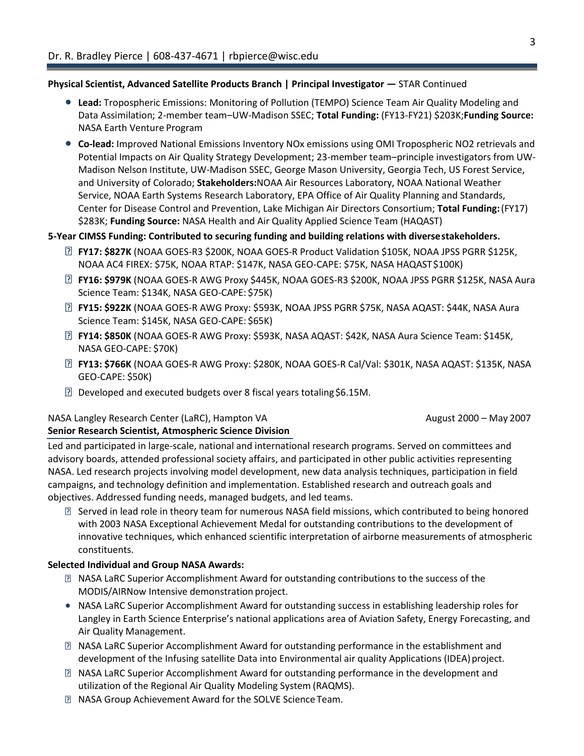#### **Physical Scientist, Advanced Satellite Products Branch | Principal Investigator —** STAR Continued

- **Lead:** Tropospheric Emissions: Monitoring of Pollution (TEMPO) Science Team Air Quality Modeling and Data Assimilation; 2-member team–UW-Madison SSEC; **Total Funding:** (FY13-FY21) \$203K;**Funding Source:**  NASA Earth Venture Program
- **Co-lead:** Improved National Emissions Inventory NOx emissions using OMI Tropospheric NO2 retrievals and Potential Impacts on Air Quality Strategy Development; 23-member team–principle investigators from UW-Madison Nelson Institute, UW-Madison SSEC, George Mason University, Georgia Tech, US Forest Service, and University of Colorado; **Stakeholders:**NOAA Air Resources Laboratory, NOAA National Weather Service, NOAA Earth Systems Research Laboratory, EPA Office of Air Quality Planning and Standards, Center for Disease Control and Prevention, Lake Michigan Air Directors Consortium; **Total Funding:**(FY17) \$283K; **Funding Source:** NASA Health and Air Quality Applied Science Team (HAQAST)

## **5-Year CIMSS Funding: Contributed to securing funding and building relations with diversestakeholders.**

- **FY17: \$827K** (NOAA GOES-R3 \$200K, NOAA GOES-R Product Validation \$105K, NOAA JPSS PGRR \$125K, NOAA AC4 FIREX: \$75K, NOAA RTAP: \$147K, NASA GEO-CAPE: \$75K, NASA HAQAST\$100K)
- **FY16: \$979K** (NOAA GOES-R AWG Proxy \$445K, NOAA GOES-R3 \$200K, NOAA JPSS PGRR \$125K, NASA Aura Science Team: \$134K, NASA GEO-CAPE: \$75K)
- **FY15: \$922K** (NOAA GOES-R AWG Proxy: \$593K, NOAA JPSS PGRR \$75K, NASA AQAST: \$44K, NASA Aura Science Team: \$145K, NASA GEO-CAPE: \$65K)
- **FY14: \$850K** (NOAA GOES-R AWG Proxy: \$593K, NASA AQAST: \$42K, NASA Aura Science Team: \$145K, NASA GEO-CAPE: \$70K)
- **FY13: \$766K** (NOAA GOES-R AWG Proxy: \$280K, NOAA GOES-R Cal/Val: \$301K, NASA AQAST: \$135K, NASA GEO-CAPE: \$50K)
- $\boxtimes$  Developed and executed budgets over 8 fiscal years totaling \$6.15M.

## NASA Langley Research Center (LaRC), Hampton VA August 2000 – May 2007 August 2000 – May 2007

## **Senior Research Scientist, Atmospheric Science Division**

Led and participated in large-scale, national and international research programs. Served on committees and advisory boards, attended professional society affairs, and participated in other public activities representing NASA. Led research projects involving model development, new data analysis techniques, participation in field campaigns, and technology definition and implementation. Established research and outreach goals and objectives. Addressed funding needs, managed budgets, and led teams.

Served in lead role in theory team for numerous NASA field missions, which contributed to being honored with 2003 NASA Exceptional Achievement Medal for outstanding contributions to the development of innovative techniques, which enhanced scientific interpretation of airborne measurements of atmospheric constituents.

## **Selected Individual and Group NASA Awards:**

- NASA LaRC Superior Accomplishment Award for outstanding contributions to the success of the MODIS/AIRNow Intensive demonstration project.
- NASA LaRC Superior Accomplishment Award for outstanding success in establishing leadership roles for Langley in Earth Science Enterprise's national applications area of Aviation Safety, Energy Forecasting, and Air Quality Management.
- NASA LaRC Superior Accomplishment Award for outstanding performance in the establishment and development of the Infusing satellite Data into Environmental air quality Applications (IDEA)project.
- NASA LaRC Superior Accomplishment Award for outstanding performance in the development and utilization of the Regional Air Quality Modeling System (RAQMS).
- **NASA Group Achievement Award for the SOLVE Science Team.**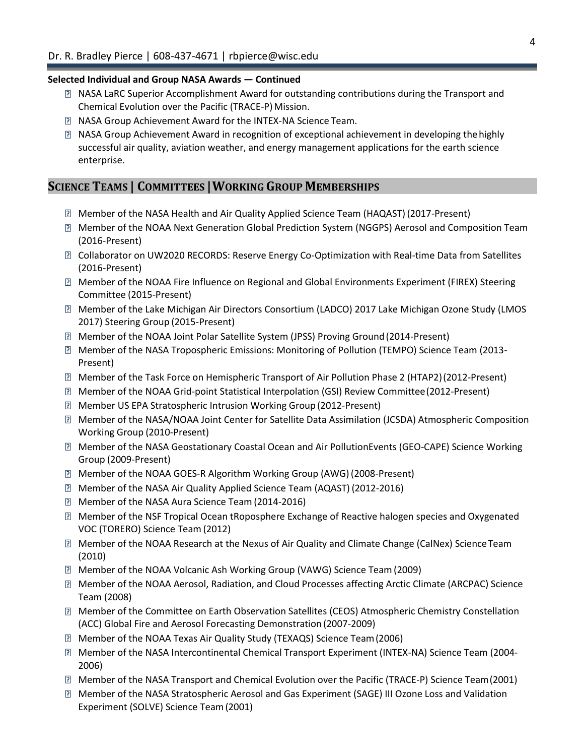#### **Selected Individual and Group NASA Awards — Continued**

- **I** NASA LaRC Superior Accomplishment Award for outstanding contributions during the Transport and Chemical Evolution over the Pacific (TRACE-P) Mission.
- **NASA Group Achievement Award for the INTEX-NA Science Team.**
- NASA Group Achievement Award in recognition of exceptional achievement in developing thehighly successful air quality, aviation weather, and energy management applications for the earth science enterprise.

## **SCIENCE TEAMS | COMMITTEES |WORKING GROUP MEMBERSHIPS**

- Member of the NASA Health and Air Quality Applied Science Team (HAQAST) (2017-Present)
- Member of the NOAA Next Generation Global Prediction System (NGGPS) Aerosol and Composition Team (2016-Present)
- **Z** Collaborator on UW2020 RECORDS: Reserve Energy Co-Optimization with Real-time Data from Satellites (2016-Present)
- Member of the NOAA Fire Influence on Regional and Global Environments Experiment (FIREX) Steering Committee (2015-Present)
- Member of the Lake Michigan Air Directors Consortium (LADCO) 2017 Lake Michigan Ozone Study (LMOS 2017) Steering Group (2015-Present)
- Member of the NOAA Joint Polar Satellite System (JPSS) Proving Ground(2014-Present)
- Member of the NASA Tropospheric Emissions: Monitoring of Pollution (TEMPO) Science Team (2013- Present)
- Member of the Task Force on Hemispheric Transport of Air Pollution Phase 2 (HTAP2)(2012-Present)
- Member of the NOAA Grid-point Statistical Interpolation (GSI) Review Committee(2012-Present)
- Member US EPA Stratospheric Intrusion Working Group (2012-Present)
- Member of the NASA/NOAA Joint Center for Satellite Data Assimilation (JCSDA) Atmospheric Composition Working Group (2010-Present)
- Member of the NASA Geostationary Coastal Ocean and Air PollutionEvents (GEO-CAPE) Science Working Group (2009-Present)
- Member of the NOAA GOES-R Algorithm Working Group (AWG) (2008-Present)
- Member of the NASA Air Quality Applied Science Team (AQAST) (2012-2016)
- **Member of the NASA Aura Science Team (2014-2016)**
- Member of the NSF Tropical Ocean tRoposphere Exchange of Reactive halogen species and Oxygenated VOC (TORERO) Science Team (2012)
- Member of the NOAA Research at the Nexus of Air Quality and Climate Change (CalNex) ScienceTeam (2010)
- Member of the NOAA Volcanic Ash Working Group (VAWG) Science Team(2009)
- Member of the NOAA Aerosol, Radiation, and Cloud Processes affecting Arctic Climate (ARCPAC) Science Team (2008)
- Member of the Committee on Earth Observation Satellites (CEOS) Atmospheric Chemistry Constellation (ACC) Global Fire and Aerosol Forecasting Demonstration (2007-2009)
- Member of the NOAA Texas Air Quality Study (TEXAQS) Science Team(2006)
- Member of the NASA Intercontinental Chemical Transport Experiment (INTEX-NA) Science Team (2004- 2006)
- Member of the NASA Transport and Chemical Evolution over the Pacific (TRACE-P) Science Team(2001)
- Member of the NASA Stratospheric Aerosol and Gas Experiment (SAGE) III Ozone Loss and Validation Experiment (SOLVE) Science Team(2001)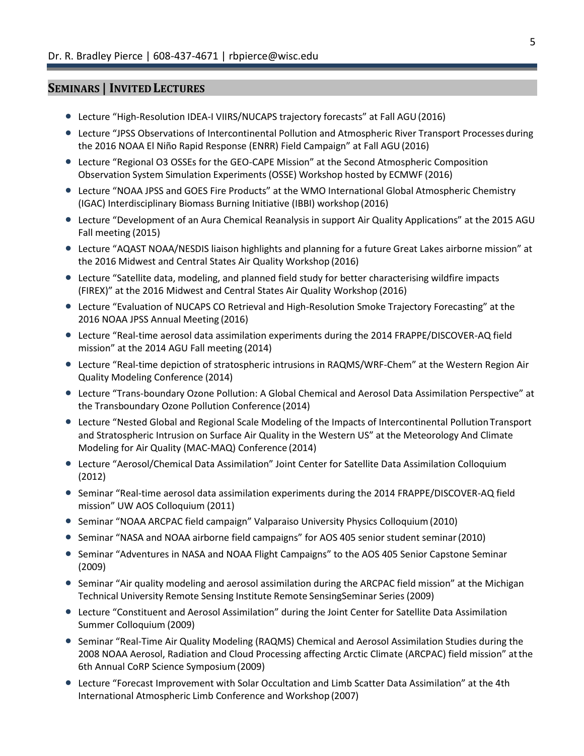#### **SEMINARS | INVITED LECTURES**

- Lecture "High-Resolution IDEA-I VIIRS/NUCAPS trajectory forecasts" at Fall AGU(2016)
- Lecture "JPSS Observations of Intercontinental Pollution and Atmospheric River Transport Processes during the 2016 NOAA El Niño Rapid Response (ENRR) Field Campaign" at Fall AGU(2016)
- Lecture "Regional O3 OSSEs for the GEO-CAPE Mission" at the Second Atmospheric Composition Observation System Simulation Experiments (OSSE) Workshop hosted by ECMWF (2016)
- Lecture "NOAA JPSS and GOES Fire Products" at the WMO International Global Atmospheric Chemistry (IGAC) Interdisciplinary Biomass Burning Initiative (IBBI) workshop (2016)
- Lecture "Development of an Aura Chemical Reanalysis in support Air Quality Applications" at the 2015 AGU Fall meeting (2015)
- Lecture "AQAST NOAA/NESDIS liaison highlights and planning for a future Great Lakes airborne mission" at the 2016 Midwest and Central States Air Quality Workshop (2016)
- Lecture "Satellite data, modeling, and planned field study for better characterising wildfire impacts (FIREX)" at the 2016 Midwest and Central States Air Quality Workshop (2016)
- Lecture "Evaluation of NUCAPS CO Retrieval and High-Resolution Smoke Trajectory Forecasting" at the 2016 NOAA JPSS Annual Meeting (2016)
- Lecture "Real-time aerosol data assimilation experiments during the 2014 FRAPPE/DISCOVER-AQ field mission" at the 2014 AGU Fall meeting (2014)
- Lecture "Real-time depiction of stratospheric intrusions in RAQMS/WRF-Chem" at the Western Region Air Quality Modeling Conference (2014)
- Lecture "Trans-boundary Ozone Pollution: A Global Chemical and Aerosol Data Assimilation Perspective" at the Transboundary Ozone Pollution Conference (2014)
- Lecture "Nested Global and Regional Scale Modeling of the Impacts of Intercontinental Pollution Transport and Stratospheric Intrusion on Surface Air Quality in the Western US" at the Meteorology And Climate Modeling for Air Quality (MAC-MAQ) Conference (2014)
- Lecture "Aerosol/Chemical Data Assimilation" Joint Center for Satellite Data Assimilation Colloquium (2012)
- **Seminar "Real-time aerosol data assimilation experiments during the 2014 FRAPPE/DISCOVER-AQ field** mission" UW AOS Colloquium (2011)
- Seminar "NOAA ARCPAC field campaign" Valparaiso University Physics Colloquium(2010)
- Seminar "NASA and NOAA airborne field campaigns" for AOS 405 senior student seminar(2010)
- **Seminar "Adventures in NASA and NOAA Flight Campaigns" to the AOS 405 Senior Capstone Seminar** (2009)
- Seminar "Air quality modeling and aerosol assimilation during the ARCPAC field mission" at the Michigan Technical University Remote Sensing Institute Remote SensingSeminar Series(2009)
- Lecture "Constituent and Aerosol Assimilation" during the Joint Center for Satellite Data Assimilation Summer Colloquium (2009)
- Seminar "Real-Time Air Quality Modeling (RAQMS) Chemical and Aerosol Assimilation Studies during the 2008 NOAA Aerosol, Radiation and Cloud Processing affecting Arctic Climate (ARCPAC) field mission" atthe 6th Annual CoRP Science Symposium(2009)
- Lecture "Forecast Improvement with Solar Occultation and Limb Scatter Data Assimilation" at the 4th International Atmospheric Limb Conference and Workshop (2007)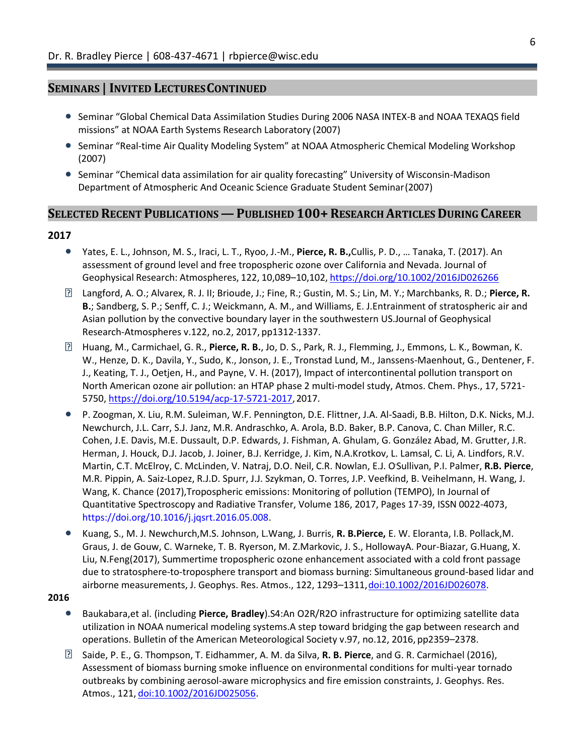## **SEMINARS | INVITED LECTURESCONTINUED**

- Seminar "Global Chemical Data Assimilation Studies During 2006 NASA INTEX-B and NOAA TEXAQS field missions" at NOAA Earth Systems Research Laboratory (2007)
- Seminar "Real-time Air Quality Modeling System" at NOAA Atmospheric Chemical Modeling Workshop (2007)
- Seminar "Chemical data assimilation for air quality forecasting" University of Wisconsin-Madison Department of Atmospheric And Oceanic Science Graduate Student Seminar(2007)

# **SELECTED RECENT PUBLICATIONS—PUBLISHED 100+RESEARCH ARTICLES DURING CAREER**

#### **2017**

- Yates, E. L., Johnson, M. S., Iraci, L. T., Ryoo, J.-M., **Pierce, R. B.,**Cullis, P. D., … Tanaka, T. (2017). An assessment of ground level and free tropospheric ozone over California and Nevada. Journal of Geophysical Research: Atmospheres, 122, 10,089–10,102, https://doi.org/10.1002/2016JD026266
- Langford, A. O.; Alvarex, R. J. II; Brioude, J.; Fine, R.; Gustin, M. S.; Lin, M. Y.; Marchbanks, R. D.; **Pierce, R. B.**; Sandberg, S. P.; Senff, C. J.; Weickmann, A. M., and Williams, E. J.Entrainment of stratospheric air and Asian pollution by the convective boundary layer in the southwestern US.Journal of Geophysical Research-Atmospheres v.122, no.2, 2017, pp1312-1337.
- Huang, M., Carmichael, G. R., **Pierce, R. B.**, Jo, D. S., Park, R. J., Flemming, J., Emmons, L. K., Bowman, K. W., Henze, D. K., Davila, Y., Sudo, K., Jonson, J. E., Tronstad Lund, M., Janssens-Maenhout, G., Dentener, F. J., Keating, T. J., Oetjen, H., and Payne, V. H. (2017), Impact of intercontinental pollution transport on North American ozone air pollution: an HTAP phase 2 multi-model study, Atmos. Chem. Phys., 17, 5721- 5750, https://doi.org/10.5194/acp-17-5721-2017, 2017.
- P. Zoogman, X. Liu, R.M. Suleiman, W.F. Pennington, D.E. Flittner, J.A. Al-Saadi, B.B. Hilton, D.K. Nicks, M.J. Newchurch, J.L. Carr, S.J. Janz, M.R. Andraschko, A. Arola, B.D. Baker, B.P. Canova, C. Chan Miller, R.C. Cohen, J.E. Davis, M.E. Dussault, D.P. Edwards, J. Fishman, A. Ghulam, G. González Abad, M. Grutter, J.R. Herman, J. Houck, D.J. Jacob, J. Joiner, B.J. Kerridge, J. Kim, N.A.Krotkov, L. Lamsal, C. Li, A. Lindfors, R.V. Martin, C.T. McElroy, C. McLinden, V. Natraj, D.O. Neil, C.R. Nowlan, E.J. O׳Sullivan, P.I. Palmer, **R.B. Pierce**, M.R. Pippin, A. Saiz-Lopez, R.J.D. Spurr, J.J. Szykman, O. Torres, J.P. Veefkind, B. Veihelmann, H. Wang, J. Wang, K. Chance (2017),Tropospheric emissions: Monitoring of pollution (TEMPO), In Journal of Quantitative Spectroscopy and Radiative Transfer, Volume 186, 2017, Pages 17-39, ISSN 0022-4073, https://doi.org/10.1016/j.jqsrt.2016.05.008.
- Kuang, S., M. J. Newchurch,M.S. Johnson, L.Wang, J. Burris, **R. B.Pierce,** E. W. Eloranta, I.B. Pollack,M. Graus, J. de Gouw, C. Warneke, T. B. Ryerson, M. Z.Markovic, J. S., HollowayA. Pour-Biazar, G.Huang, X. Liu, N.Feng(2017), Summertime tropospheric ozone enhancement associated with a cold front passage due to stratosphere-to-troposphere transport and biomass burning: Simultaneous ground-based lidar and airborne measurements, J. Geophys. Res. Atmos., 122, 1293-1311, doi:10.1002/2016JD026078.

#### **2016**

- Baukabara,et al. (including **Pierce, Bradley**).S4:An O2R/R2O infrastructure for optimizing satellite data utilization in NOAA numerical modeling systems.A step toward bridging the gap between research and operations. Bulletin of the American Meteorological Society v.97, no.12, 2016, pp2359–2378.
- Saide, P. E., G. Thompson, T. Eidhammer, A. M. da Silva, **R. B. Pierce**, and G. R. Carmichael (2016), Assessment of biomass burning smoke influence on environmental conditions for multi-year tornado outbreaks by combining aerosol-aware microphysics and fire emission constraints, J. Geophys. Res. Atmos., 121, doi:10.1002/2016JD025056.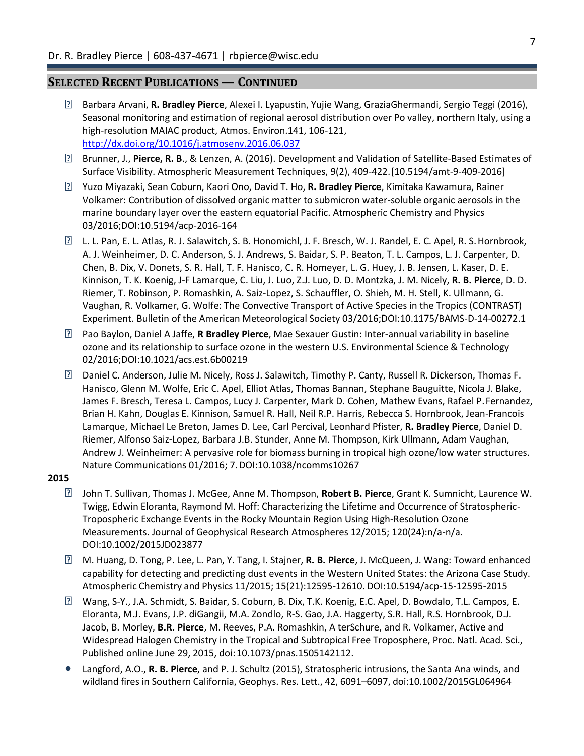## **SELECTED RECENT PUBLICATIONS — CONTINUED**

- 3 Barbara Arvani, **R. Bradley Pierce**, Alexei I. Lyapustin, Yujie Wang, GraziaGhermandi, Sergio Teggi (2016), Seasonal monitoring and estimation of regional aerosol distribution over Po valley, northern Italy, using a high-resolution MAIAC product, Atmos. Environ.141, 106-121, <http://dx.doi.org/10.1016/j.atmosenv.2016.06.037>
- Brunner, J., **Pierce, R. B**., & Lenzen, A. (2016). Development and Validation of Satellite-Based Estimates of Surface Visibility. Atmospheric Measurement Techniques, 9(2), 409-422.[10.5194/amt-9-409-2016]
- Yuzo Miyazaki, Sean Coburn, Kaori Ono, David T. Ho, **R. Bradley Pierce**, Kimitaka Kawamura, Rainer Volkamer: Contribution of dissolved organic matter to submicron water-soluble organic aerosols in the marine boundary layer over the eastern equatorial Pacific. Atmospheric Chemistry and Physics 03/2016;DOI:10.5194/acp-2016-164
- L. L. Pan, E. L. Atlas, R. J. Salawitch, S. B. Honomichl, J. F. Bresch, W. J. Randel, E. C. Apel, R. S.Hornbrook, A. J. Weinheimer, D. C. Anderson, S. J. Andrews, S. Baidar, S. P. Beaton, T. L. Campos, L. J. Carpenter, D. Chen, B. Dix, V. Donets, S. R. Hall, T. F. Hanisco, C. R. Homeyer, L. G. Huey, J. B. Jensen, L. Kaser, D. E. Kinnison, T. K. Koenig, J-F Lamarque, C. Liu, J. Luo, Z.J. Luo, D. D. Montzka, J. M. Nicely, **R. B. Pierce**, D. D. Riemer, T. Robinson, P. Romashkin, A. Saiz-Lopez, S. Schauffler, O. Shieh, M. H. Stell, K. Ullmann, G. Vaughan, R. Volkamer, G. Wolfe: The Convective Transport of Active Species in the Tropics (CONTRAST) Experiment. Bulletin of the American Meteorological Society 03/2016;DOI:10.1175/BAMS-D-14-00272.1
- Pao Baylon, Daniel A Jaffe, **R Bradley Pierce**, Mae Sexauer Gustin: Inter-annual variability in baseline ozone and its relationship to surface ozone in the western U.S. Environmental Science & Technology 02/2016;DOI:10.1021/acs.est.6b00219
- Daniel C. Anderson, Julie M. Nicely, Ross J. Salawitch, Timothy P. Canty, Russell R. Dickerson, Thomas F. Hanisco, Glenn M. Wolfe, Eric C. Apel, Elliot Atlas, Thomas Bannan, Stephane Bauguitte, Nicola J. Blake, James F. Bresch, Teresa L. Campos, Lucy J. Carpenter, Mark D. Cohen, Mathew Evans, Rafael P.Fernandez, Brian H. Kahn, Douglas E. Kinnison, Samuel R. Hall, Neil R.P. Harris, Rebecca S. Hornbrook, Jean-Francois Lamarque, Michael Le Breton, James D. Lee, Carl Percival, Leonhard Pfister, **R. Bradley Pierce**, Daniel D. Riemer, Alfonso Saiz-Lopez, Barbara J.B. Stunder, Anne M. Thompson, Kirk Ullmann, Adam Vaughan, Andrew J. Weinheimer: A pervasive role for biomass burning in tropical high ozone/low water structures. Nature Communications 01/2016; 7.DOI:10.1038/ncomms10267

#### **2015**

- John T. Sullivan, Thomas J. McGee, Anne M. Thompson, **Robert B. Pierce**, Grant K. Sumnicht, Laurence W. Twigg, Edwin Eloranta, Raymond M. Hoff: Characterizing the Lifetime and Occurrence of Stratospheric-Tropospheric Exchange Events in the Rocky Mountain Region Using High-Resolution Ozone Measurements. Journal of Geophysical Research Atmospheres 12/2015; 120(24):n/a-n/a. DOI:10.1002/2015JD023877
- M. Huang, D. Tong, P. Lee, L. Pan, Y. Tang, I. Stajner, **R. B. Pierce**, J. McQueen, J. Wang: Toward enhanced capability for detecting and predicting dust events in the Western United States: the Arizona Case Study. Atmospheric Chemistry and Physics 11/2015; 15(21):12595-12610. DOI:10.5194/acp-15-12595-2015
- Wang, S-Y., J.A. Schmidt, S. Baidar, S. Coburn, B. Dix, T.K. Koenig, E.C. Apel, D. Bowdalo, T.L. Campos, E. Eloranta, M.J. Evans, J.P. diGangii, M.A. Zondlo, R-S. Gao, J.A. Haggerty, S.R. Hall, R.S. Hornbrook, D.J. Jacob, B. Morley, **B.R. Pierce**, M. Reeves, P.A. Romashkin, A terSchure, and R. Volkamer, Active and Widespread Halogen Chemistry in the Tropical and Subtropical Free Troposphere, Proc. Natl. Acad. Sci., Published online June 29, 2015, doi:10.1073/pnas.1505142112.
- Langford, A.O., **R. B. Pierce**, and P. J. Schultz (2015), Stratospheric intrusions, the Santa Ana winds, and wildland fires in Southern California, Geophys. Res. Lett., 42, 6091–6097, doi:10.1002/2015GL064964